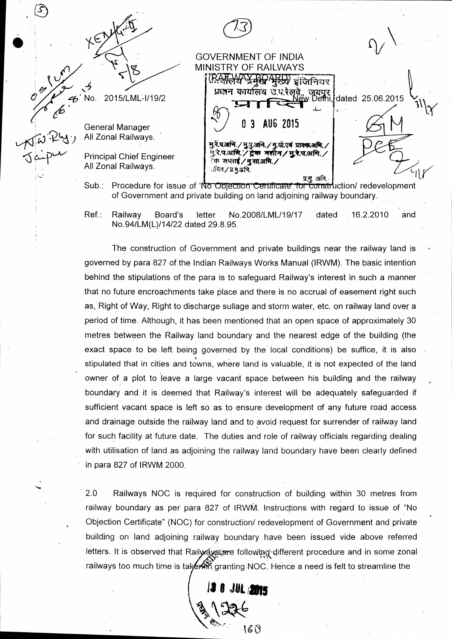| <b>XEN.</b>              |                                                                                         |  |
|--------------------------|-----------------------------------------------------------------------------------------|--|
|                          | <b>GOVERNMENT OF INDIA</b>                                                              |  |
|                          | MINISTRY OF RAILWAYS                                                                    |  |
|                          | र्भर्छ्य इंजिनियर                                                                       |  |
|                          | प्रधान कार्यालय उ.प.रेलवे., जयपुर  <br>New Defini, dated 25.06.2015                     |  |
| 2015/LML-I/19/2<br>No.   |                                                                                         |  |
|                          |                                                                                         |  |
| General Manager          | AUG 2015<br>3                                                                           |  |
| All Zonal Railways.      |                                                                                         |  |
|                          | मु.रे.प.अमि./मु.पु.अभि./मु.यो.एवं प्राक्कअमि./<br>मु.रे.प.अमि./ट्रेक नशीन/मु.रे.प.अमि./ |  |
| Principal Chief Engineer | ेक सप्लाई ⁄ मु.सा.अभि. ∕                                                                |  |
| All Zonal Railways.      | ावित∕प्र.मु.अभि.                                                                        |  |
|                          | प्र.मु. अभि.                                                                            |  |

of Government and private building on land adjoining railway boundary Sub.: Procedure for issue of 'No Objection'Certificate' for construction/ redevelopmen

 $4\sqrt{2}$ 

o%

 $\mathfrak{c}$   $\mathfrak{\dot{\mathcal{C}}}$ 

 $\frac{1}{2}$ No.

 $\sigma$  aiper

.8

Ref.: Railway Board's letter No.2008/LML/19/17 dated 16.2.2010 and No.94/LM(L)/14/22 dated 29.8.95.

The construction of Government and private buildings near the railway land is governed by para 827 of the Indian Railways Works Manual (IRWM). The basic intention behind the stipulations of the para is to safeguard Railway's interest in such a manner that no future encroachments take place and there is no accrual of easement right such as, Right of Way, Right to discharge sullage and storm water, etc. on railway land over a period of time. Although, it has been mentioned that an open space of approximately 30 metres between the Railway land boundary and the nearest edge of the building (the exact space to be left being governed by the local conditions) be suffice, it is also stipulated that in cities and towns, where land is valuable, it is not expected of the land .<br>owner of a plot to leave a large vacant space between his building and the railway boundary and it is. deemed that Railway's interest will be adequately safeguarded if sufficient vacant space is left so as to ensure development of any future road access and drainage outside the railway land and to avoid request for surrender of railway land for such facility at future date. The duties and role of railway officials regarding dealing with utilisation of land as adjoining the railway land boundary have been clearly defined in para 827 of IRWM 2000.

2.0 Railways NOC is'required for construction of building within 30 metres from railway boundary as per para 827 of IRWM. Instructions with regard to issue of "No Objection Certificate" (NOC) for construction/ redevelopment of Government and private building on land adjoining railway boundary have been issued vide above referred letters. It is observed that Railways are following different procedure and in some zonal railways too much time is tak**érnň** granting NOC. Hence a need is felt to streamline the

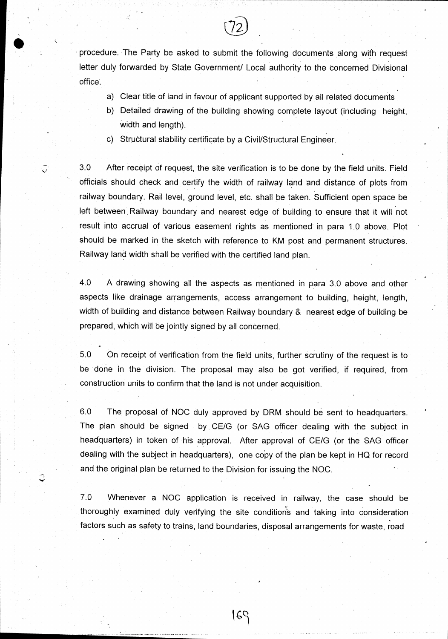procedure. The Party be asked to submit the following documents along wiih request letter duly forwarded by State Government/ Local authority to the concerned Divisional office.

F,- | tl l 12 |  $\lambda$  $\sim$  -the  $\sim$ 

- a) Clear title of land in favour of applicant supported by all related documents
- b) Detailed drawing of the building showing complete layout (including height, width and length).
- c) Structural stability certificate by a Civil/Structural Engineer.

; 3.0 After receipt of request, the site verification is to be done by the field units. Field officials should check and certify the width of railway land and distance of plots from railway boundary. Rail level, ground level, etc. shall be taken. Sufficient open space be left between Railway boundary and nearest edge of building to ensure that it will not result into accrual of various easement rights as mentioned in para 1.0 above. Plot should be marked in the sketch with reference to KM post and perrnanent structures. Railway land width shall be verified with the certified land plan.

4.0 A drawing showing all the aspects as mentioned in para 3.0 above and other aspects like drainage arrangements, access arrangement to building, height, length; width of building and distance between Railway boundary & nearest edge of building be prepared, which will be jointly signed by all concerned.

5.0 On receipt of verification from the field units, further scrutiny of the request is to be done in the division. The proposal may also be got verified, if required, from . construction units to confirm that the land is not under acquisition.

6.0 The proposal of NOC duly approved by DRM should be sent to headquarters. The plan should be signed by CE/G (or SAG officer dealing with the subject in headquarters) in token of his approval. After approval of CE/G (or the SAG officer dealing with the subject in headquarters), one copy of the plan be kept in HQ for record and the original plan be returned to the Division for issuing the NOC.

 $\hat{\mathcal{L}}$ 

7.0 Whenever a NOC application is received in railway, the case should be thoroughly examined duly verifying the site conditions and taking into consideratior factors such as safety to trains, land boundaries, disposal arrangements for waste, roac

16J